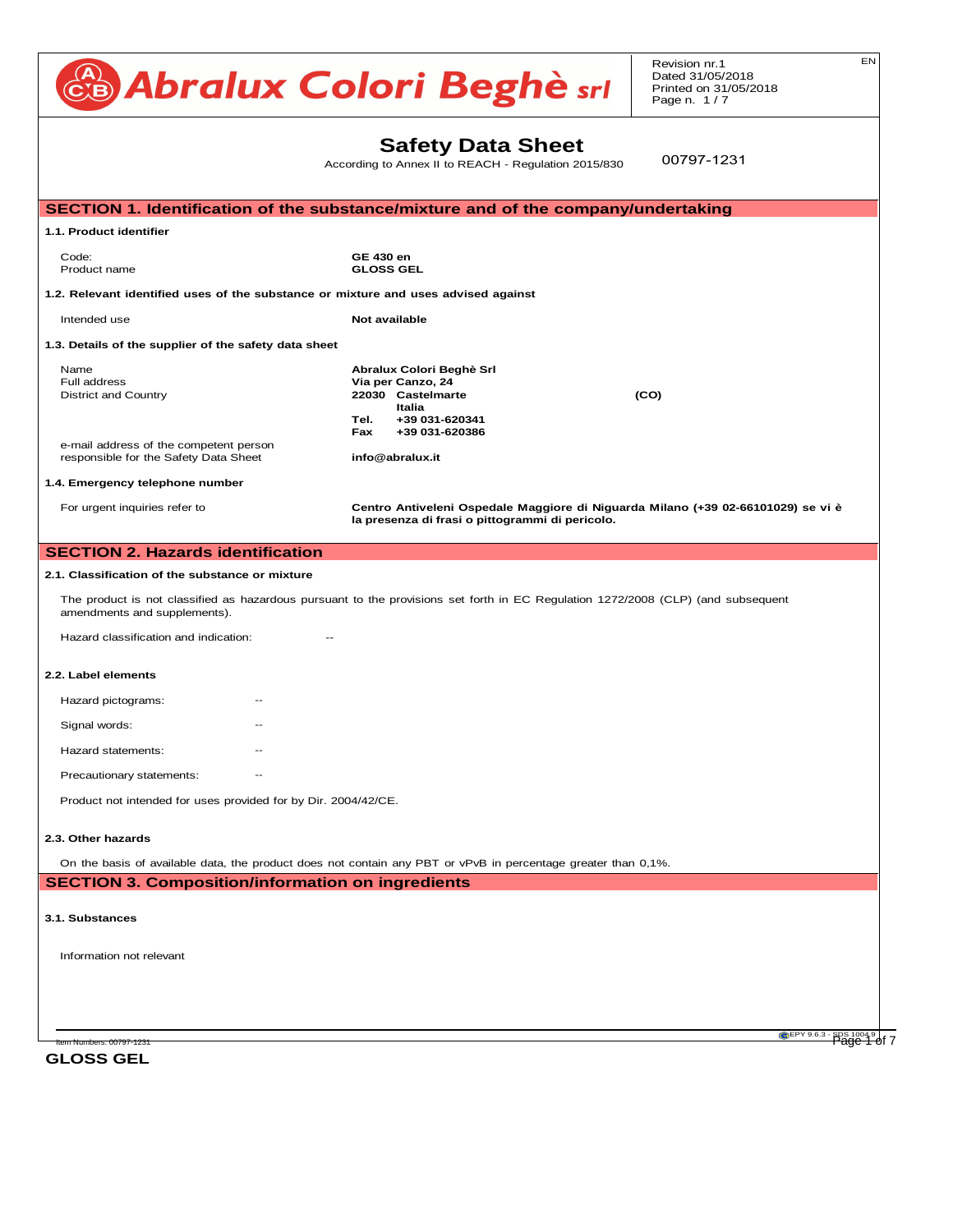| Abralux Colori Beghè sri                                                                                                                                         | EN<br>Revision nr.1<br>Dated 31/05/2018<br>Printed on 31/05/2018<br>Page n. $1/7$                                                      |                                                                                  |  |  |  |
|------------------------------------------------------------------------------------------------------------------------------------------------------------------|----------------------------------------------------------------------------------------------------------------------------------------|----------------------------------------------------------------------------------|--|--|--|
|                                                                                                                                                                  | <b>Safety Data Sheet</b><br>According to Annex II to REACH - Regulation 2015/830                                                       | 00797-1231                                                                       |  |  |  |
|                                                                                                                                                                  | SECTION 1. Identification of the substance/mixture and of the company/undertaking                                                      |                                                                                  |  |  |  |
| 1.1. Product identifier                                                                                                                                          |                                                                                                                                        |                                                                                  |  |  |  |
| Code:<br>Product name                                                                                                                                            | <b>GE 430 en</b><br><b>GLOSS GEL</b>                                                                                                   |                                                                                  |  |  |  |
| 1.2. Relevant identified uses of the substance or mixture and uses advised against                                                                               |                                                                                                                                        |                                                                                  |  |  |  |
| Intended use                                                                                                                                                     | Not available                                                                                                                          |                                                                                  |  |  |  |
| 1.3. Details of the supplier of the safety data sheet                                                                                                            |                                                                                                                                        |                                                                                  |  |  |  |
| Name<br>Full address<br><b>District and Country</b><br>e-mail address of the competent person                                                                    | Abralux Colori Beghè Srl<br>Via per Canzo, 24<br>22030 Castelmarte<br><b>Italia</b><br>Tel.<br>+39 031-620341<br>+39 031-620386<br>Fax | (CO)                                                                             |  |  |  |
| responsible for the Safety Data Sheet<br>1.4. Emergency telephone number                                                                                         | info@abralux.it                                                                                                                        |                                                                                  |  |  |  |
| For urgent inquiries refer to                                                                                                                                    | la presenza di frasi o pittogrammi di pericolo.                                                                                        | Centro Antiveleni Ospedale Maggiore di Niguarda Milano (+39 02-66101029) se vi è |  |  |  |
| <b>SECTION 2. Hazards identification</b>                                                                                                                         |                                                                                                                                        |                                                                                  |  |  |  |
| 2.1. Classification of the substance or mixture                                                                                                                  |                                                                                                                                        |                                                                                  |  |  |  |
| The product is not classified as hazardous pursuant to the provisions set forth in EC Regulation 1272/2008 (CLP) (and subsequent<br>amendments and supplements). |                                                                                                                                        |                                                                                  |  |  |  |
| Hazard classification and indication:                                                                                                                            |                                                                                                                                        |                                                                                  |  |  |  |
| 2.2. Label elements                                                                                                                                              |                                                                                                                                        |                                                                                  |  |  |  |

| Hazard pictograms:        | $- -$ |  |  |
|---------------------------|-------|--|--|
| Signal words:             | $- -$ |  |  |
| Hazard statements:        | $- -$ |  |  |
| Precautionary statements: | $- -$ |  |  |

Product not intended for uses provided for by Dir. 2004/42/CE. **Drock into ded for uppe provided for L** Product not intended for us

Flash point Not applicable Flammability of solids and gases not applicable

### 2.3. Other hazards<br>**12.6. Other adverse effects**  $\sum_{i=1}^n$  United the mixture:  $\sum_{i=1}^n$  of the mixture:  $N$ - N.I. Other hazards and Industrial Materials-7, 1989 Edition Materials-7, 1989 Edition Materials-7, 1989 Edition Materials-7, 1989 Edition Materials-7, 1989 Edition Materials-7, 1989 Edition Materials-7, 1989 Edition Mate

On the basis of available data, the product does not contain any PBT or vPvB in percentage greater than 0,1%. On the basis of available data, the product does not contain any PBT or vPvB in percentage greater to On the basis of available data, the product does not contain any PBT or vPvB in percentage greater  $\frac{5}{10}$ On the basis of

**SECTION 3. Composition/information on ingredients**  $\boldsymbol{\mathsf{EC}}$ TION 3. Composition/information on ingredients  $\boldsymbol{\mathsf{S}}$  $\overline{\phantom{a}}$ SECTION 3. Composition/information on ingre  $\mathsf{ECTION}$  ? Composition/information on ingradients

#### **3.1. Substances**<br> **6.4. Reference to other sections** Partition coefficient: n-octanol/water Not available Not available Not available Not available Not available N<br>Partition coefficient: n-octanol/water Not available Not available Not available Not available Not available N **13.1. Substances** . Substances

Information not relevant Information not relevant

EPY 9.6.3 - SDS 1004.9 Item Numbers: 00797-1231 Page 1 of 7

**GLOSS GEL**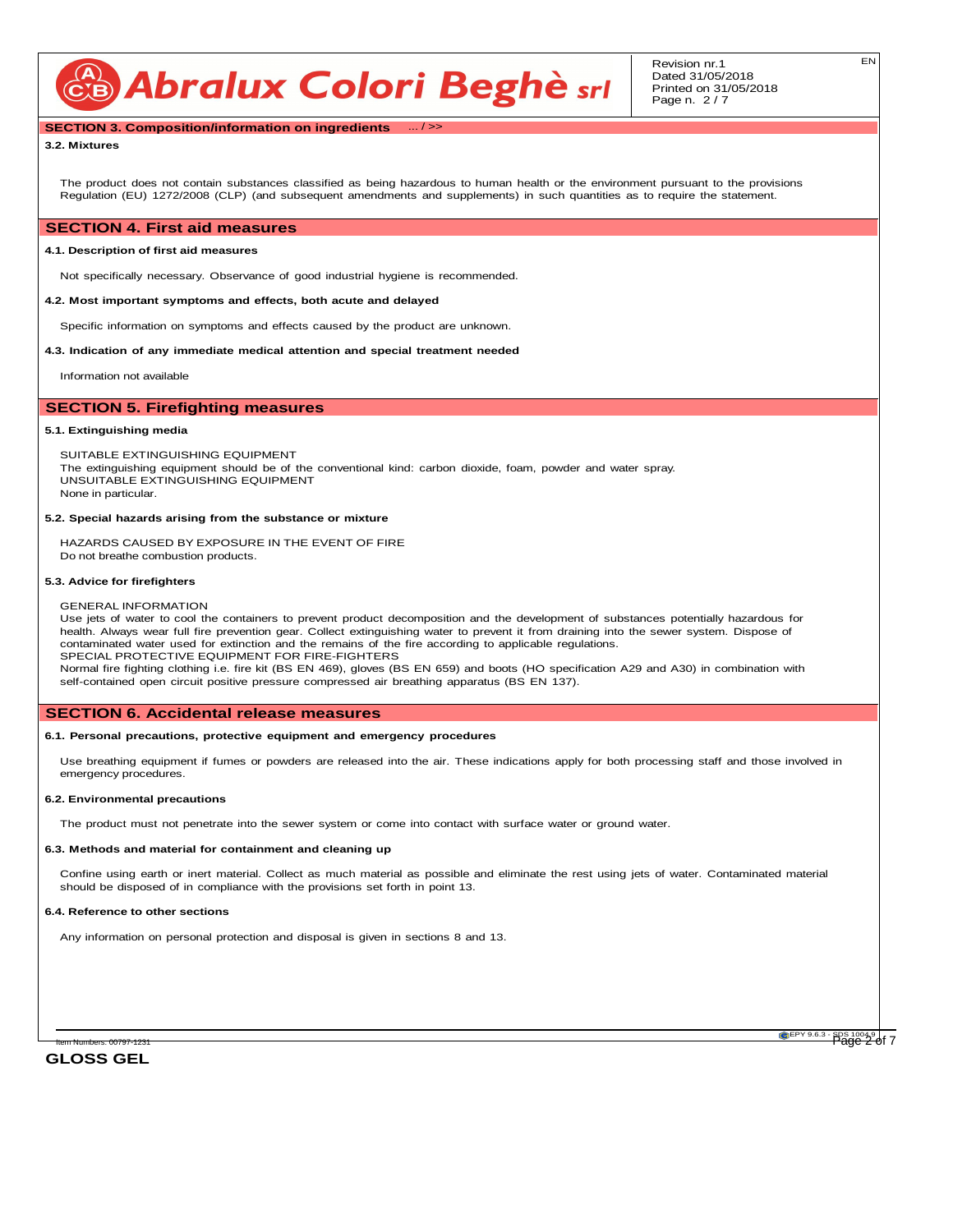CB Abralux Colori Beghè srl

# **SECTION 3. Composition/information on ingredients** ... / >>

### **3.2. Mixtures**

The product does not contain substances classified as being hazardous to human health or the environment pursuant to the provisions Regulation (EU) 1272/2008 (CLP) (and subsequent amendments and supplements) in such quantities as to require the statement.

# **SECTION 4. First aid measures**

# **4.1. Description of first aid measures**

Not specifically necessary. Observance of good industrial hygiene is recommended.

### **4.2. Most important symptoms and effects, both acute and delayed**

Specific information on symptoms and effects caused by the product are unknown.

### **4.3. Indication of any immediate medical attention and special treatment needed**

Information not available

# **SECTION 5. Firefighting measures**

### **5.1. Extinguishing media**

SUITABLE EXTINGUISHING EQUIPMENT The extinguishing equipment should be of the conventional kind: carbon dioxide, foam, powder and water spray. UNSUITABLE EXTINGUISHING EQUIPMENT None in particular.

### **5.2. Special hazards arising from the substance or mixture**

HAZARDS CAUSED BY EXPOSURE IN THE EVENT OF FIRE Do not breathe combustion products.

### **5.3. Advice for firefighters**

### GENERAL INFORMATION

Use jets of water to cool the containers to prevent product decomposition and the development of substances potentially hazardous for health. Always wear full fire prevention gear. Collect extinguishing water to prevent it from draining into the sewer system. Dispose of contaminated water used for extinction and the remains of the fire according to applicable regulations. SPECIAL PROTECTIVE EQUIPMENT FOR FIRE-FIGHTERS Normal fire fighting clothing i.e. fire kit (BS EN 469), gloves (BS EN 659) and boots (HO specification A29 and A30) in combination with

self-contained open circuit positive pressure compressed air breathing apparatus (BS EN 137).

### **SECTION 6. Accidental release measures**

### **6.1. Personal precautions, protective equipment and emergency procedures**

Use breathing equipment if fumes or powders are released into the air. These indications apply for both processing staff and those involved in emergency procedures.

### **6.2. Environmental precautions**

The product must not penetrate into the sewer system or come into contact with surface water or ground water.

### **6.3. Methods and material for containment and cleaning up**

Confine using earth or inert material. Collect as much material as possible and eliminate the rest using jets of water. Contaminated material should be disposed of in compliance with the provisions set forth in point 13.

### **6.4. Reference to other sections**

Any information on personal protection and disposal is given in sections 8 and 13.

**GLOSS GEL**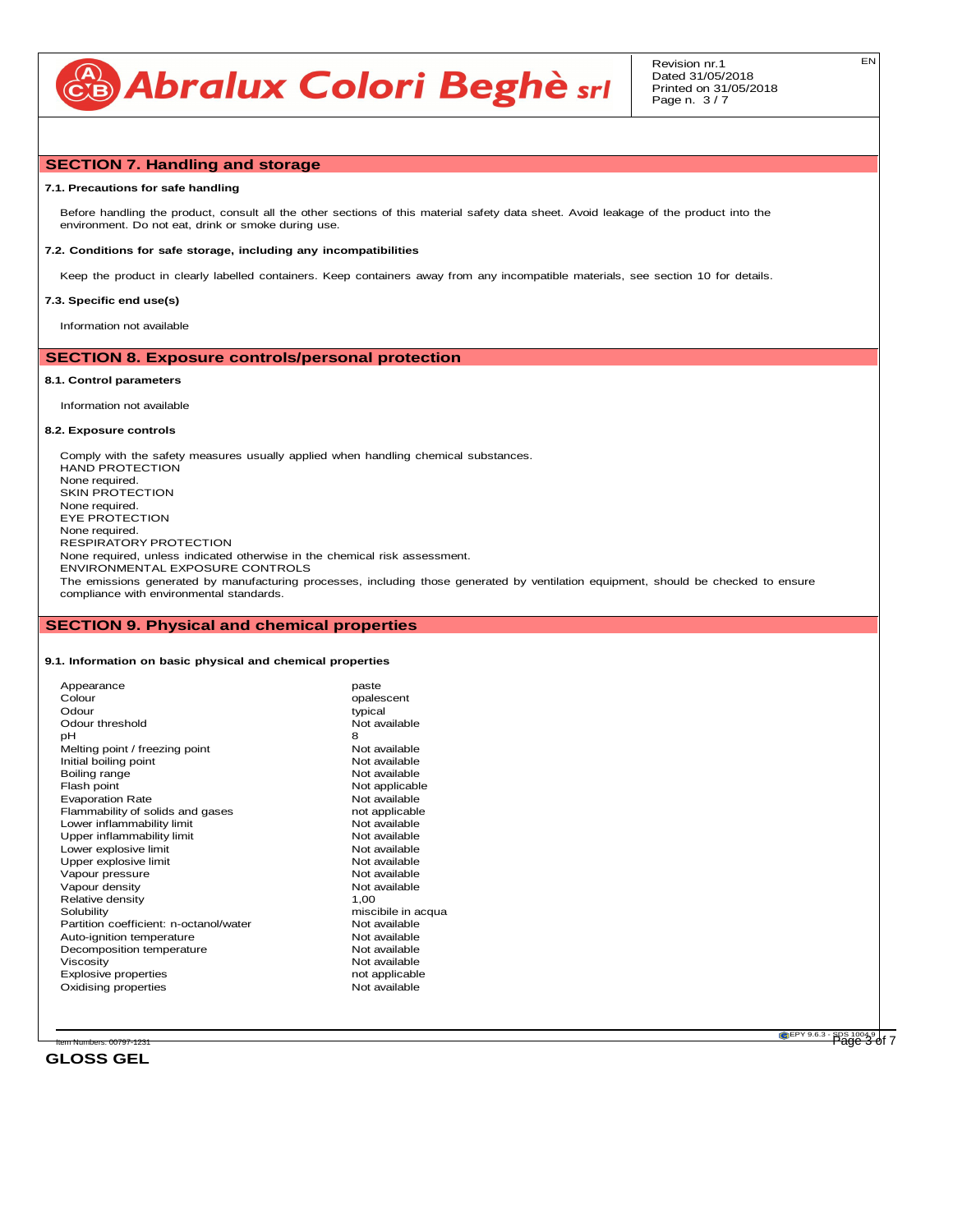

# **SECTION 7. Handling and storage**

### **7.1. Precautions for safe handling**

Before handling the product, consult all the other sections of this material safety data sheet. Avoid leakage of the product into the environment. Do not eat, drink or smoke during use.

### **7.2. Conditions for safe storage, including any incompatibilities**

Keep the product in clearly labelled containers. Keep containers away from any incompatible materials, see section 10 for details.

### **7.3. Specific end use(s)**

Information not available

# **SECTION 8. Exposure controls/personal protection**

### **8.1. Control parameters**

Information not available

### **8.2. Exposure controls**

Comply with the safety measures usually applied when handling chemical substances. HAND PROTECTION None required. SKIN PROTECTION None required. EYE PROTECTION None required. RESPIRATORY PROTECTION None required, unless indicated otherwise in the chemical risk assessment. ENVIRONMENTAL EXPOSURE CONTROLS The emissions generated by manufacturing processes, including those generated by ventilation equipment, should be checked to ensure compliance with environmental standards.

# **SECTION 9. Physical and chemical properties**

### **9.1. Information on basic physical and chemical properties**

| Appearance                             | paste              |
|----------------------------------------|--------------------|
| Colour                                 | opalescent         |
| Odour                                  | typical            |
| Odour threshold                        | Not available      |
| рH                                     | 8                  |
| Melting point / freezing point         | Not available      |
| Initial boiling point                  | Not available      |
| Boiling range                          | Not available      |
| Flash point                            | Not applicable     |
| <b>Evaporation Rate</b>                | Not available      |
| Flammability of solids and gases       | not applicable     |
| Lower inflammability limit             | Not available      |
| Upper inflammability limit             | Not available      |
| Lower explosive limit                  | Not available      |
| Upper explosive limit                  | Not available      |
| Vapour pressure                        | Not available      |
| Vapour density                         | Not available      |
| Relative density                       | 1.00               |
| Solubility                             | miscibile in acqua |
| Partition coefficient: n-octanol/water | Not available      |
| Auto-ignition temperature              | Not available      |
| Decomposition temperature              | Not available      |
| Viscosity                              | Not available      |
| <b>Explosive properties</b>            | not applicable     |
| Oxidising properties                   | Not available      |
|                                        |                    |

**GLOSS GEL**

EPY 9.6.3 - SDS 1004.9 Item Numbers: 00797-1231 Page 3 of 7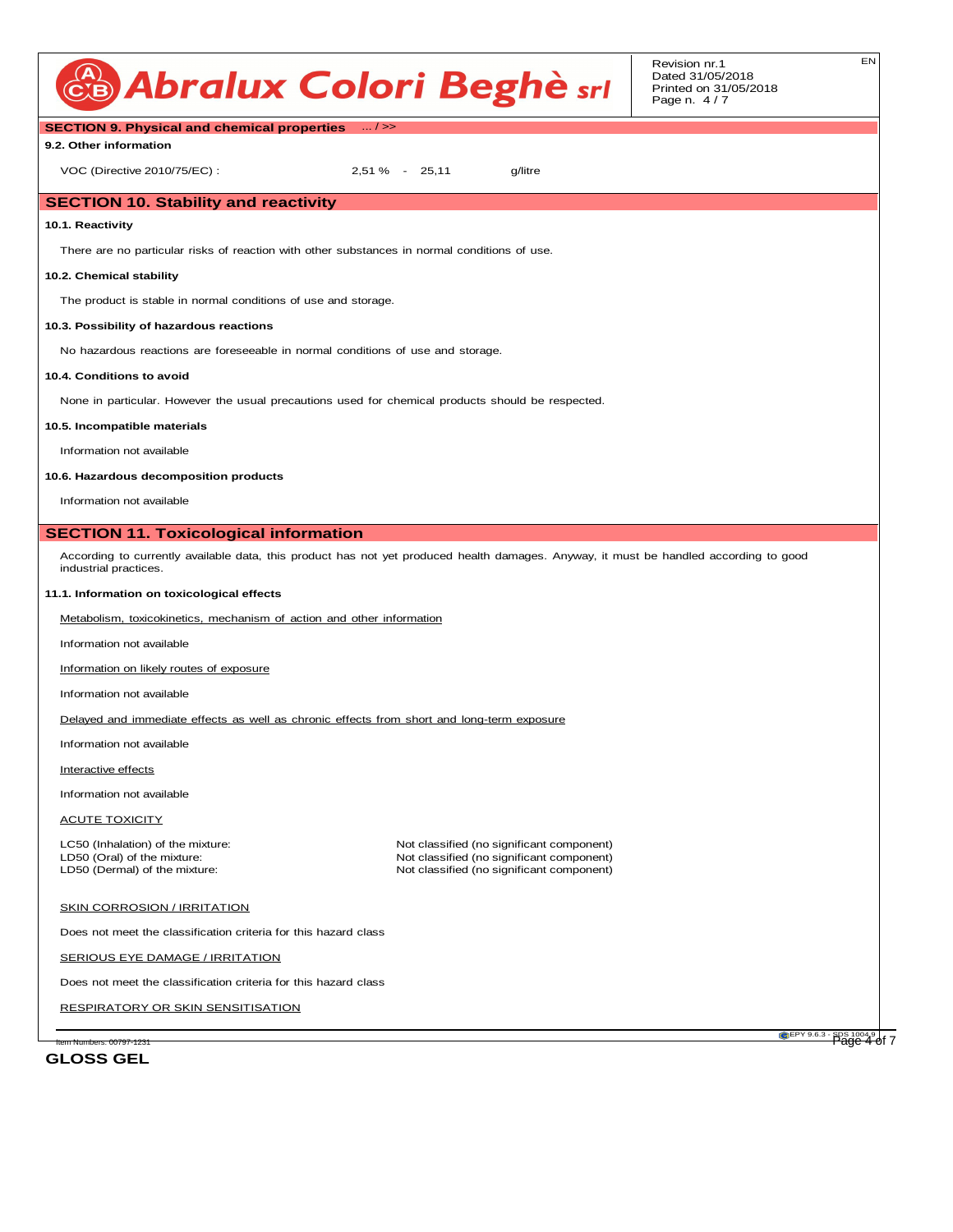

Revision nr.1 Dated 31/05/2018 Printed on 31/05/2018 Page n. 4 / 7

| <b>SECTION 9. Physical and chemical properties</b> / >>                                           |                                                                                                                                       |  |  |  |
|---------------------------------------------------------------------------------------------------|---------------------------------------------------------------------------------------------------------------------------------------|--|--|--|
| 9.2. Other information                                                                            |                                                                                                                                       |  |  |  |
| VOC (Directive 2010/75/EC):                                                                       | 2,51 % - 25,11<br>g/litre                                                                                                             |  |  |  |
| <b>SECTION 10. Stability and reactivity</b>                                                       |                                                                                                                                       |  |  |  |
| 10.1. Reactivity                                                                                  |                                                                                                                                       |  |  |  |
| There are no particular risks of reaction with other substances in normal conditions of use.      |                                                                                                                                       |  |  |  |
| 10.2. Chemical stability                                                                          |                                                                                                                                       |  |  |  |
| The product is stable in normal conditions of use and storage.                                    |                                                                                                                                       |  |  |  |
| 10.3. Possibility of hazardous reactions                                                          |                                                                                                                                       |  |  |  |
| No hazardous reactions are foreseeable in normal conditions of use and storage.                   |                                                                                                                                       |  |  |  |
| 10.4. Conditions to avoid                                                                         |                                                                                                                                       |  |  |  |
|                                                                                                   | None in particular. However the usual precautions used for chemical products should be respected.                                     |  |  |  |
| 10.5. Incompatible materials                                                                      |                                                                                                                                       |  |  |  |
| Information not available                                                                         |                                                                                                                                       |  |  |  |
| 10.6. Hazardous decomposition products                                                            |                                                                                                                                       |  |  |  |
| Information not available                                                                         |                                                                                                                                       |  |  |  |
| <b>SECTION 11. Toxicological information</b>                                                      |                                                                                                                                       |  |  |  |
| industrial practices.                                                                             | According to currently available data, this product has not yet produced health damages. Anyway, it must be handled according to good |  |  |  |
| 11.1. Information on toxicological effects                                                        |                                                                                                                                       |  |  |  |
| Metabolism, toxicokinetics, mechanism of action and other information                             |                                                                                                                                       |  |  |  |
| Information not available                                                                         |                                                                                                                                       |  |  |  |
| Information on likely routes of exposure                                                          |                                                                                                                                       |  |  |  |
| Information not available                                                                         |                                                                                                                                       |  |  |  |
| Delayed and immediate effects as well as chronic effects from short and long-term exposure        |                                                                                                                                       |  |  |  |
| Information not available                                                                         |                                                                                                                                       |  |  |  |
| Interactive effects                                                                               |                                                                                                                                       |  |  |  |
| Information not available                                                                         |                                                                                                                                       |  |  |  |
| <b>ACUTE TOXICITY</b>                                                                             |                                                                                                                                       |  |  |  |
| LC50 (Inhalation) of the mixture:<br>LD50 (Oral) of the mixture:<br>LD50 (Dermal) of the mixture: | Not classified (no significant component)<br>Not classified (no significant component)<br>Not classified (no significant component)   |  |  |  |
| SKIN CORROSION / IRRITATION                                                                       |                                                                                                                                       |  |  |  |
| Does not meet the classification criteria for this hazard class                                   |                                                                                                                                       |  |  |  |
| SERIOUS EYE DAMAGE / IRRITATION                                                                   |                                                                                                                                       |  |  |  |
| Does not meet the classification criteria for this hazard class                                   |                                                                                                                                       |  |  |  |
| <b>RESPIRATORY OR SKIN SENSITISATION</b>                                                          |                                                                                                                                       |  |  |  |

**GLOSS GEL**

EPY 9.6.3 - SDS 1004.9 Item Numbers: 00797-1231 Page 4 of 7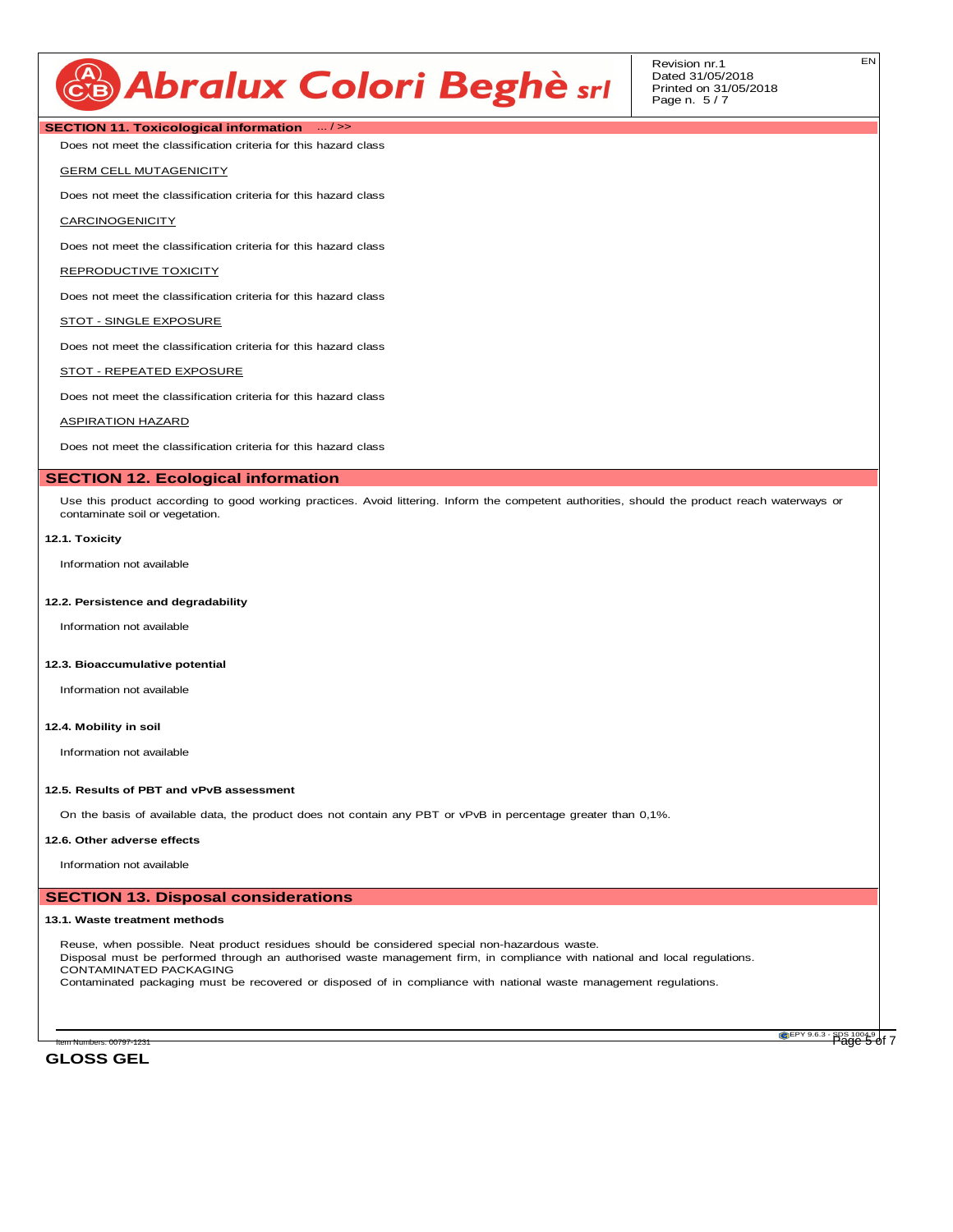# CB Abralux Colori Beghè srl

Revision nr.1 Dated 31/05/2018 Printed on 31/05/2018 Page n. 5 / 7

# **SECTION 11. Toxicological information** ... / >>

Does not meet the classification criteria for this hazard class

### GERM CELL MUTAGENICITY

Does not meet the classification criteria for this hazard class

## **CARCINOGENICITY**

Does not meet the classification criteria for this hazard class

### REPRODUCTIVE TOXICITY

Does not meet the classification criteria for this hazard class

### STOT - SINGLE EXPOSURE

Does not meet the classification criteria for this hazard class

### STOT - REPEATED EXPOSURE

Does not meet the classification criteria for this hazard class

### ASPIRATION HAZARD

Does not meet the classification criteria for this hazard class

# **SECTION 12. Ecological information**

Use this product according to good working practices. Avoid littering. Inform the competent authorities, should the product reach waterways or contaminate soil or vegetation.

## **12.1. Toxicity**

Information not available

### **12.2. Persistence and degradability**

Information not available

### **12.3. Bioaccumulative potential**

Information not available

### **12.4. Mobility in soil**

Information not available

# **12.5. Results of PBT and vPvB assessment**

On the basis of available data, the product does not contain any PBT or vPvB in percentage greater than 0,1%.

### **12.6. Other adverse effects**

Information not available

# **SECTION 13. Disposal considerations**

### **13.1. Waste treatment methods**

Reuse, when possible. Neat product residues should be considered special non-hazardous waste. Disposal must be performed through an authorised waste management firm, in compliance with national and local regulations. CONTAMINATED PACKAGING Contaminated packaging must be recovered or disposed of in compliance with national waste management regulations.

**GLOSS GEL**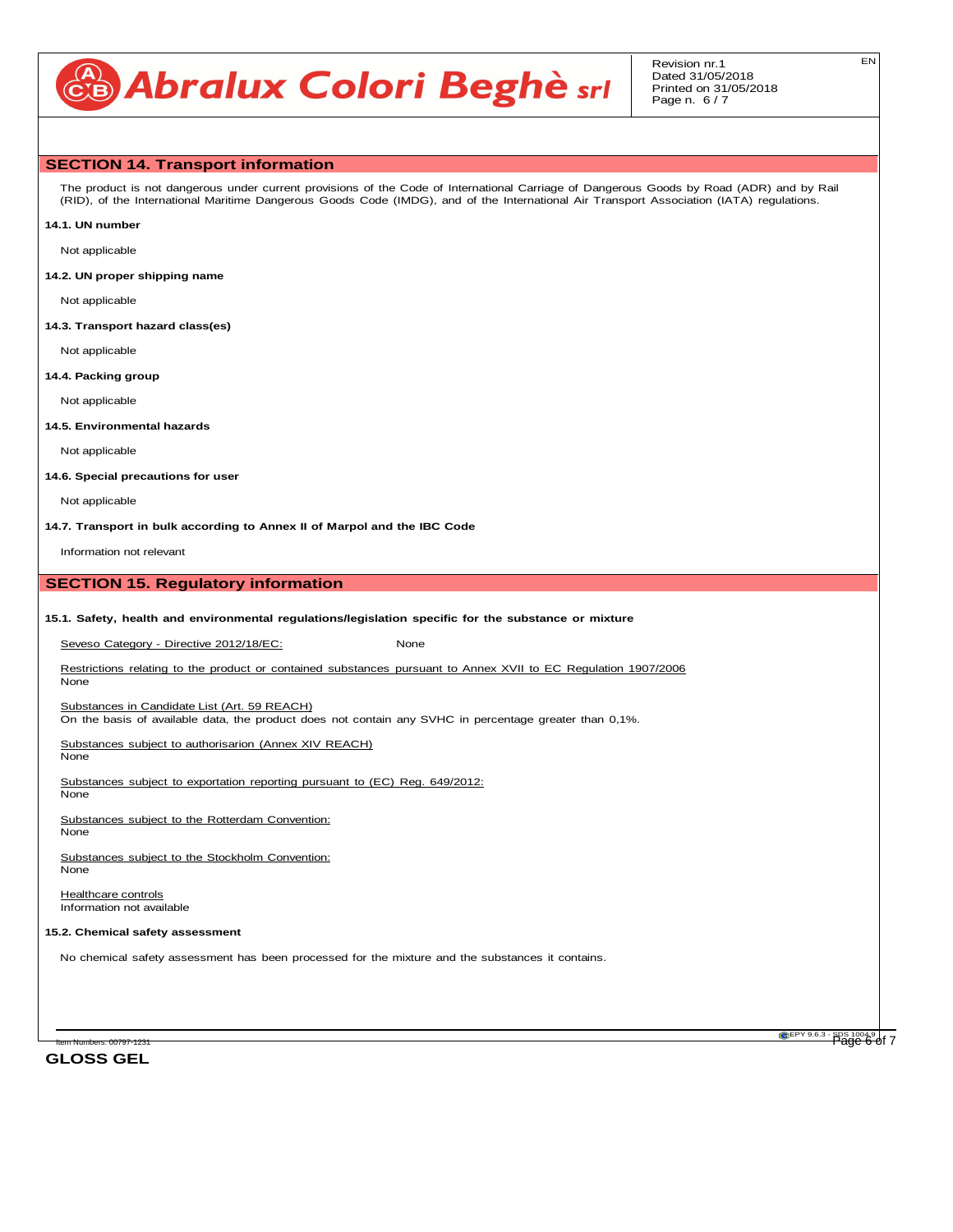# CB Abralux Colori Beghè srl

# **SECTION 14. Transport information**

The product is not dangerous under current provisions of the Code of International Carriage of Dangerous Goods by Road (ADR) and by Rail (RID), of the International Maritime Dangerous Goods Code (IMDG), and of the International Air Transport Association (IATA) regulations.

**14.1. UN number**

Not applicable

**14.2. UN proper shipping name**

Not applicable

**14.3. Transport hazard class(es)**

Not applicable

### **14.4. Packing group**

Not applicable

**14.5. Environmental hazards**

Not applicable

**14.6. Special precautions for user**

Not applicable

**14.7. Transport in bulk according to Annex II of Marpol and the IBC Code**

Information not relevant

# **SECTION 15. Regulatory information**

### **15.1. Safety, health and environmental regulations/legislation specific for the substance or mixture**

Seveso Category - Directive 2012/18/EC: None

Restrictions relating to the product or contained substances pursuant to Annex XVII to EC Regulation 1907/2006 None

Substances in Candidate List (Art. 59 REACH)

On the basis of available data, the product does not contain any SVHC in percentage greater than 0,1%.

Substances subject to authorisarion (Annex XIV REACH)

None

Substances subject to exportation reporting pursuant to (EC) Reg. 649/2012: None

Substances subject to the Rotterdam Convention: None

Substances subject to the Stockholm Convention: None

**Healthcare controls** Information not available

### **15.2. Chemical safety assessment**

No chemical safety assessment has been processed for the mixture and the substances it contains.

**GLOSS GEL**

EPY 9.6.3 - SDS 1004.9 Item Numbers: 00797-1231 Page 6 of 7